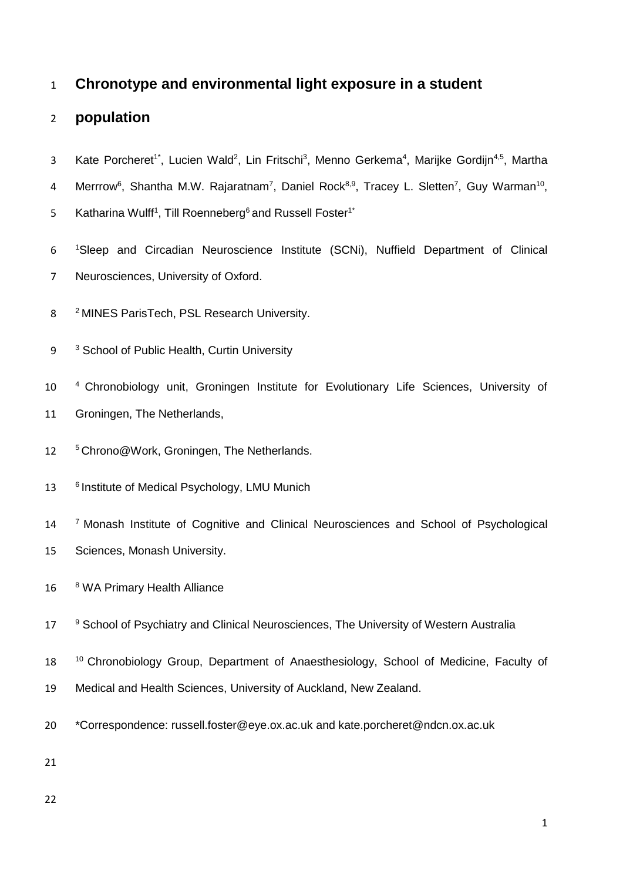## 1 **Chronotype and environmental light exposure in a student**

# 2 **population**

- 3 Kate Porcheret<sup>1\*</sup>, Lucien Wald<sup>2</sup>, Lin Fritschi<sup>3</sup>, Menno Gerkema<sup>4</sup>, Marijke Gordijn<sup>4,5</sup>, Martha
- 4 Merrrow<sup>6</sup>, Shantha M.W. Rajaratnam<sup>7</sup>, Daniel Rock<sup>8,9</sup>, Tracey L. Sletten<sup>7</sup>, Guy Warman<sup>10</sup>,
- 5 Katharina Wulff<sup>1</sup>, Till Roenneberg<sup>6</sup> and Russell Foster<sup>1\*</sup>
- 6 <sup>1</sup> Sleep and Circadian Neuroscience Institute (SCNi), Nuffield Department of Clinical 7 Neurosciences, University of Oxford.
- 8 <sup>2</sup> MINES ParisTech, PSL Research University.
- 9 <sup>3</sup> School of Public Health, Curtin University
- 10 <sup>4</sup> Chronobiology unit, Groningen Institute for Evolutionary Life Sciences, University of 11 Groningen, The Netherlands,
- 12 <sup>5</sup> Chrono@Work, Groningen, The Netherlands.
- 13 <sup>6</sup> Institute of Medical Psychology, LMU Munich
- 14 <sup>7</sup> Monash Institute of Cognitive and Clinical Neurosciences and School of Psychological 15 Sciences, Monash University.
- 16 8 WA Primary Health Alliance
- 17 <sup>9</sup> School of Psychiatry and Clinical Neurosciences, The University of Western Australia
- 18 <sup>10</sup> Chronobiology Group, Department of Anaesthesiology, School of Medicine, Faculty of
- 19 Medical and Health Sciences, University of Auckland, New Zealand.
- 20 \*Correspondence: russell.foster@eye.ox.ac.uk and kate.porcheret@ndcn.ox.ac.uk
- 21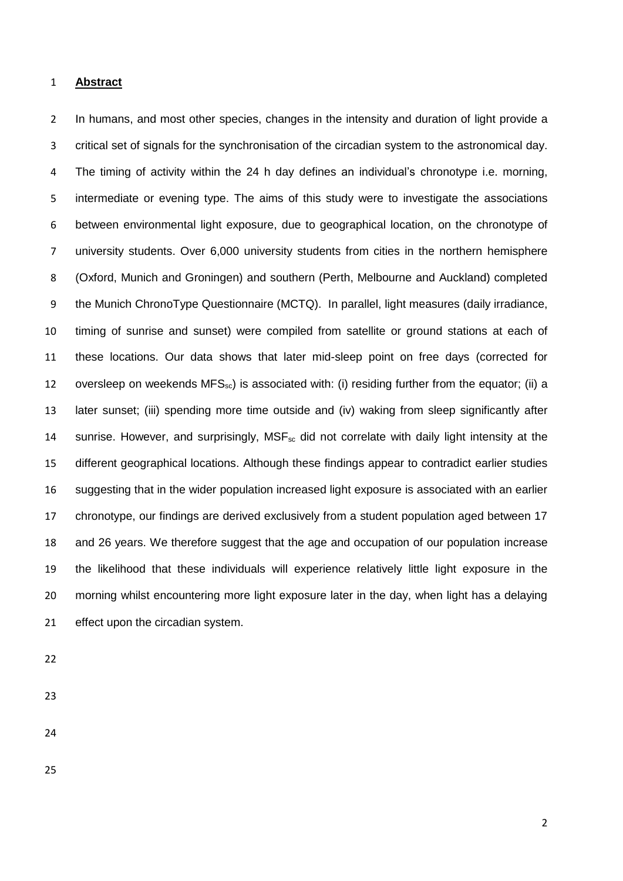#### **Abstract**

2 In humans, and most other species, changes in the intensity and duration of light provide a critical set of signals for the synchronisation of the circadian system to the astronomical day. The timing of activity within the 24 h day defines an individual's chronotype i.e. morning, intermediate or evening type. The aims of this study were to investigate the associations between environmental light exposure, due to geographical location, on the chronotype of university students. Over 6,000 university students from cities in the northern hemisphere (Oxford, Munich and Groningen) and southern (Perth, Melbourne and Auckland) completed the Munich ChronoType Questionnaire (MCTQ). In parallel, light measures (daily irradiance, timing of sunrise and sunset) were compiled from satellite or ground stations at each of these locations. Our data shows that later mid-sleep point on free days (corrected for 12 oversleep on weekends MFS<sub>sc</sub>) is associated with: (i) residing further from the equator; (ii) a later sunset; (iii) spending more time outside and (iv) waking from sleep significantly after 14 sunrise. However, and surprisingly,  $MSE_{\rm sc}$  did not correlate with daily light intensity at the different geographical locations. Although these findings appear to contradict earlier studies suggesting that in the wider population increased light exposure is associated with an earlier chronotype, our findings are derived exclusively from a student population aged between 17 and 26 years. We therefore suggest that the age and occupation of our population increase the likelihood that these individuals will experience relatively little light exposure in the morning whilst encountering more light exposure later in the day, when light has a delaying 21 effect upon the circadian system.

- 
- 
-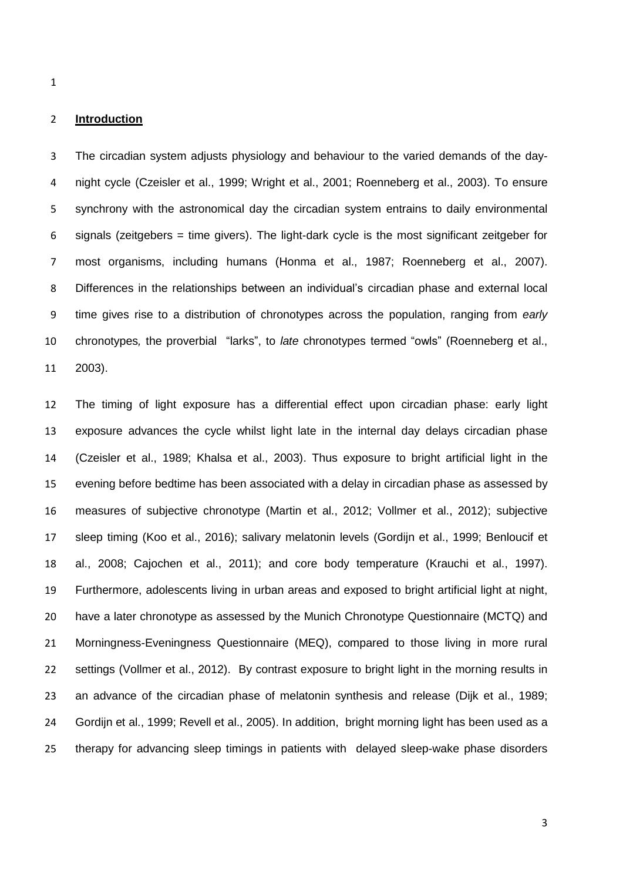## **Introduction**

 The circadian system adjusts physiology and behaviour to the varied demands of the day- night cycle (Czeisler et al., 1999; Wright et al., 2001; Roenneberg et al., 2003). To ensure synchrony with the astronomical day the circadian system entrains to daily environmental signals (zeitgebers = time givers). The light-dark cycle is the most significant zeitgeber for most organisms, including humans (Honma et al., 1987; Roenneberg et al., 2007). Differences in the relationships between an individual's circadian phase and external local time gives rise to a distribution of chronotypes across the population, ranging from *early*  chronotypes*,* the proverbial "larks", to *late* chronotypes termed "owls" (Roenneberg et al., 2003).

 The timing of light exposure has a differential effect upon circadian phase: early light exposure advances the cycle whilst light late in the internal day delays circadian phase (Czeisler et al., 1989; Khalsa et al., 2003). Thus exposure to bright artificial light in the evening before bedtime has been associated with a delay in circadian phase as assessed by measures of subjective chronotype (Martin et al., 2012; Vollmer et al., 2012); subjective sleep timing (Koo et al., 2016); salivary melatonin levels (Gordijn et al., 1999; Benloucif et al., 2008; Cajochen et al., 2011); and core body temperature (Krauchi et al., 1997). Furthermore, adolescents living in urban areas and exposed to bright artificial light at night, have a later chronotype as assessed by the Munich Chronotype Questionnaire (MCTQ) and Morningness-Eveningness Questionnaire (MEQ), compared to those living in more rural settings (Vollmer et al., 2012). By contrast exposure to bright light in the morning results in an advance of the circadian phase of melatonin synthesis and release (Dijk et al., 1989; Gordijn et al., 1999; Revell et al., 2005). In addition, bright morning light has been used as a therapy for advancing sleep timings in patients with delayed sleep-wake phase disorders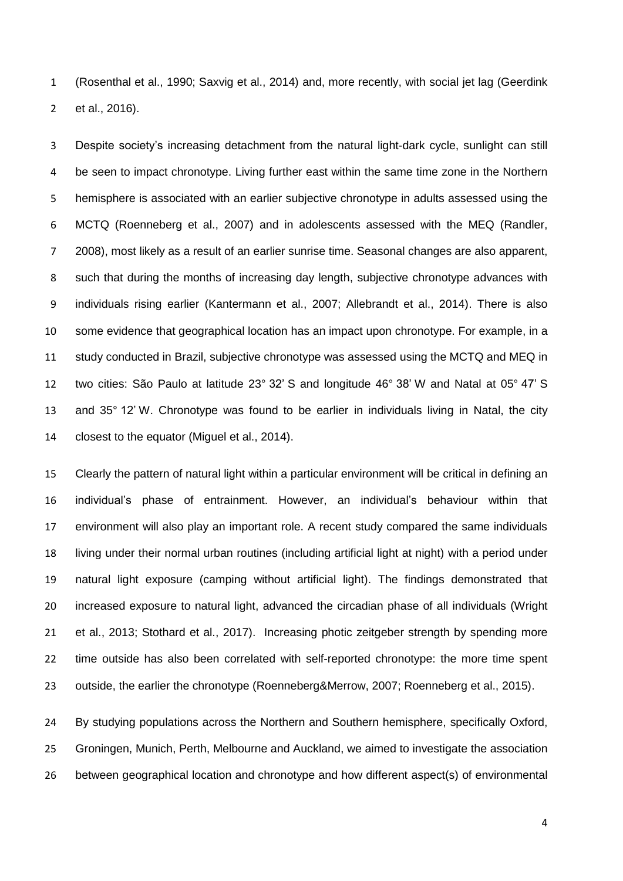(Rosenthal et al., 1990; Saxvig et al., 2014) and, more recently, with social jet lag (Geerdink et al., 2016).

 Despite society's increasing detachment from the natural light-dark cycle, sunlight can still 4 be seen to impact chronotype. Living further east within the same time zone in the Northern hemisphere is associated with an earlier subjective chronotype in adults assessed using the MCTQ (Roenneberg et al., 2007) and in adolescents assessed with the MEQ (Randler, 2008), most likely as a result of an earlier sunrise time. Seasonal changes are also apparent, such that during the months of increasing day length, subjective chronotype advances with individuals rising earlier (Kantermann et al., 2007; Allebrandt et al., 2014). There is also some evidence that geographical location has an impact upon chronotype. For example, in a study conducted in Brazil, subjective chronotype was assessed using the MCTQ and MEQ in two cities: São Paulo at latitude 23° 32' S and longitude 46° 38' W and Natal at 05° 47' S and 35° 12' W. Chronotype was found to be earlier in individuals living in Natal, the city closest to the equator (Miguel et al., 2014).

 Clearly the pattern of natural light within a particular environment will be critical in defining an individual's phase of entrainment. However, an individual's behaviour within that environment will also play an important role. A recent study compared the same individuals living under their normal urban routines (including artificial light at night) with a period under natural light exposure (camping without artificial light). The findings demonstrated that increased exposure to natural light, advanced the circadian phase of all individuals (Wright et al., 2013; Stothard et al., 2017). Increasing photic zeitgeber strength by spending more time outside has also been correlated with self-reported chronotype: the more time spent outside, the earlier the chronotype (Roenneberg&Merrow, 2007; Roenneberg et al., 2015).

 By studying populations across the Northern and Southern hemisphere, specifically Oxford, Groningen, Munich, Perth, Melbourne and Auckland, we aimed to investigate the association between geographical location and chronotype and how different aspect(s) of environmental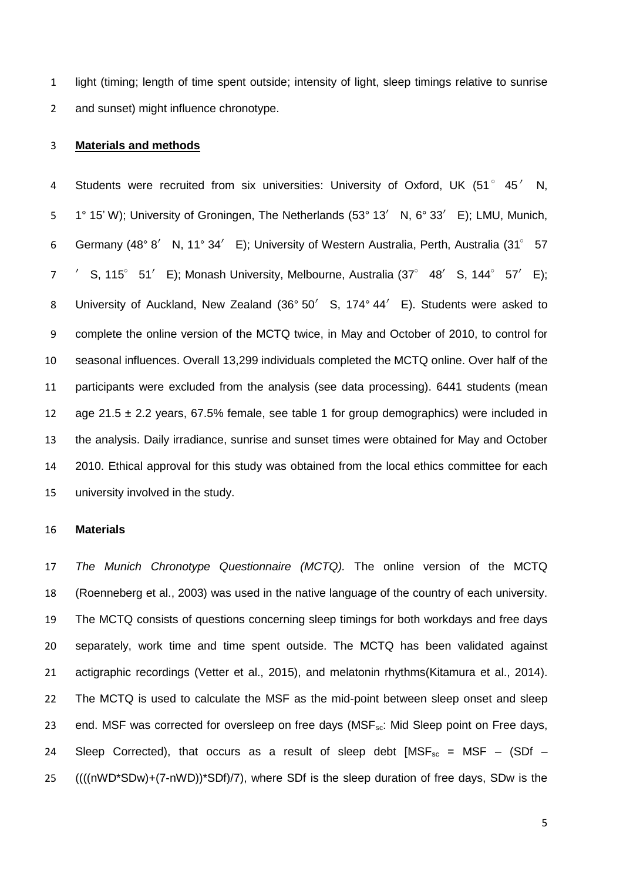light (timing; length of time spent outside; intensity of light, sleep timings relative to sunrise and sunset) might influence chronotype.

## **Materials and methods**

4 Students were recruited from six universities: University of Oxford, UK (51° 45' N, 1° 15' W); University of Groningen, The Netherlands (53° 13′ N, 6° 33′ E); LMU, Munich, Germany (48° 8′ N, 11° 34′ E); University of Western Australia, Perth, Australia (31° 57 ′ S, 115° 51′ E); Monash University, Melbourne, Australia (37° 48′ S, 144° 57′ E); 8 University of Auckland, New Zealand (36° 50' S, 174° 44' E). Students were asked to complete the online version of the MCTQ twice, in May and October of 2010, to control for seasonal influences. Overall 13,299 individuals completed the MCTQ online. Over half of the participants were excluded from the analysis (see data processing). 6441 students (mean 12 age 21.5  $\pm$  2.2 years, 67.5% female, see table 1 for group demographics) were included in the analysis. Daily irradiance, sunrise and sunset times were obtained for May and October 2010. Ethical approval for this study was obtained from the local ethics committee for each university involved in the study.

#### **Materials**

 *The Munich Chronotype Questionnaire (MCTQ).* The online version of the MCTQ (Roenneberg et al., 2003) was used in the native language of the country of each university. The MCTQ consists of questions concerning sleep timings for both workdays and free days separately, work time and time spent outside. The MCTQ has been validated against actigraphic recordings (Vetter et al., 2015), and melatonin rhythms(Kitamura et al., 2014). 22 The MCTQ is used to calculate the MSF as the mid-point between sleep onset and sleep 23 end. MSF was corrected for oversleep on free days (MSF<sub>sc</sub>: Mid Sleep point on Free days, 24 Sleep Corrected), that occurs as a result of sleep debt  $[MSF_{sc} = MSF - (SDf -$ ((((nWD\*SDw)+(7-nWD))\*SDf)/7), where SDf is the sleep duration of free days, SDw is the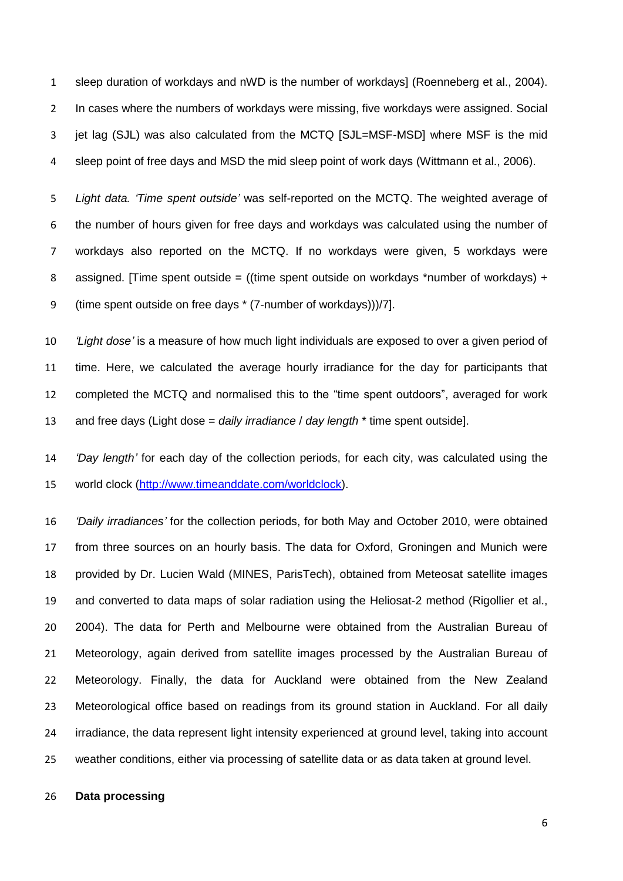sleep duration of workdays and nWD is the number of workdays] (Roenneberg et al., 2004). In cases where the numbers of workdays were missing, five workdays were assigned. Social jet lag (SJL) was also calculated from the MCTQ [SJL=MSF-MSD] where MSF is the mid sleep point of free days and MSD the mid sleep point of work days (Wittmann et al., 2006).

 *Light data. 'Time spent outside'* was self-reported on the MCTQ. The weighted average of the number of hours given for free days and workdays was calculated using the number of workdays also reported on the MCTQ. If no workdays were given, 5 workdays were 8 assigned. [Time spent outside = ((time spent outside on workdays \*number of workdays) + (time spent outside on free days \* (7-number of workdays)))/7].

 *'Light dose'* is a measure of how much light individuals are exposed to over a given period of time. Here, we calculated the average hourly irradiance for the day for participants that completed the MCTQ and normalised this to the "time spent outdoors", averaged for work and free days (Light dose = *daily irradiance* / *day length* \* time spent outside].

 *'Day length'* for each day of the collection periods, for each city, was calculated using the world clock [\(http://www.timeanddate.com/worldclock\)](http://www.timeanddate.com/worldclock).

 *'Daily irradiances'* for the collection periods, for both May and October 2010, were obtained from three sources on an hourly basis. The data for Oxford, Groningen and Munich were provided by Dr. Lucien Wald (MINES, ParisTech), obtained from Meteosat satellite images and converted to data maps of solar radiation using the Heliosat-2 method (Rigollier et al., 2004). The data for Perth and Melbourne were obtained from the Australian Bureau of Meteorology, again derived from satellite images processed by the Australian Bureau of Meteorology. Finally, the data for Auckland were obtained from the New Zealand Meteorological office based on readings from its ground station in Auckland. For all daily irradiance, the data represent light intensity experienced at ground level, taking into account weather conditions, either via processing of satellite data or as data taken at ground level.

## **Data processing**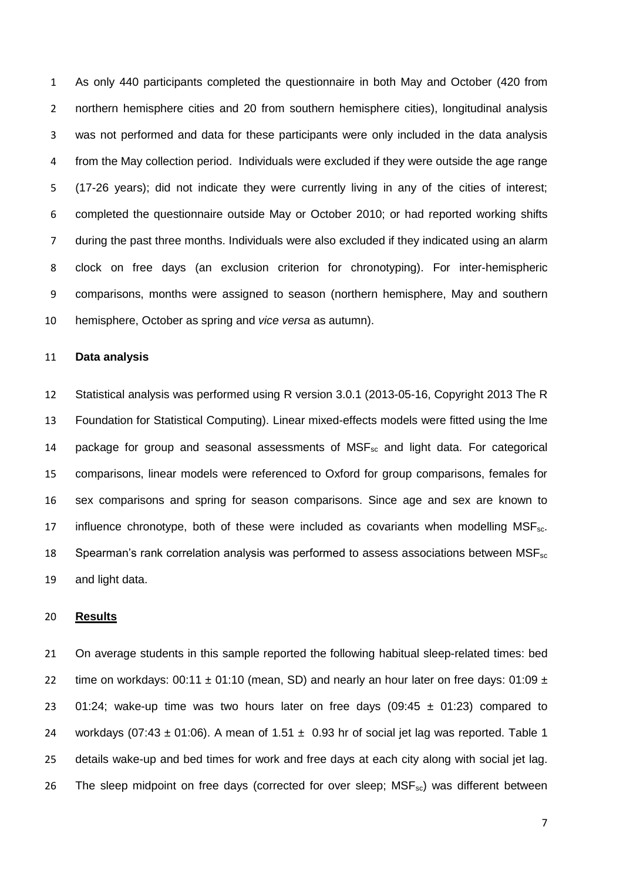As only 440 participants completed the questionnaire in both May and October (420 from northern hemisphere cities and 20 from southern hemisphere cities), longitudinal analysis was not performed and data for these participants were only included in the data analysis from the May collection period. Individuals were excluded if they were outside the age range (17-26 years); did not indicate they were currently living in any of the cities of interest; completed the questionnaire outside May or October 2010; or had reported working shifts during the past three months. Individuals were also excluded if they indicated using an alarm clock on free days (an exclusion criterion for chronotyping). For inter-hemispheric comparisons, months were assigned to season (northern hemisphere, May and southern hemisphere, October as spring and *vice versa* as autumn).

## **Data analysis**

 Statistical analysis was performed using R version 3.0.1 (2013-05-16, Copyright 2013 The R Foundation for Statistical Computing). Linear mixed-effects models were fitted using the lme 14 package for group and seasonal assessments of  $MSF_{sc}$  and light data. For categorical comparisons, linear models were referenced to Oxford for group comparisons, females for sex comparisons and spring for season comparisons. Since age and sex are known to 17 influence chronotype, both of these were included as covariants when modelling  $MSE_{sc}$ . 18 Spearman's rank correlation analysis was performed to assess associations between  $MSF_{sc}$ and light data.

## **Results**

21 On average students in this sample reported the following habitual sleep-related times: bed 22 time on workdays:  $00:11 \pm 01:10$  (mean, SD) and nearly an hour later on free days:  $01:09 \pm 1$ 23 01:24; wake-up time was two hours later on free days (09:45  $\pm$  01:23) compared to 24 workdays (07:43  $\pm$  01:06). A mean of 1.51  $\pm$  0.93 hr of social jet lag was reported. Table 1 details wake-up and bed times for work and free days at each city along with social jet lag. 26 The sleep midpoint on free days (corrected for over sleep;  $MSF_{sc}$ ) was different between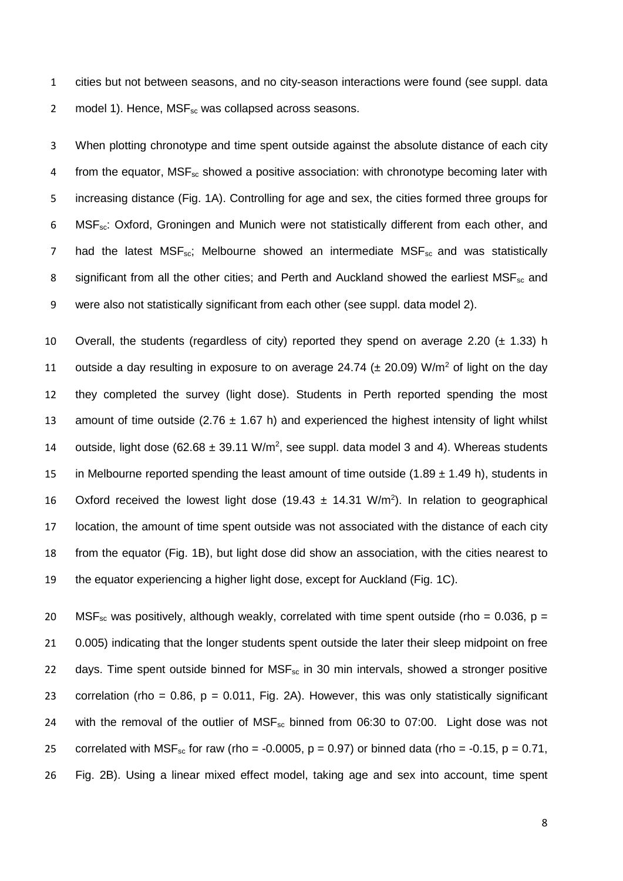1 cities but not between seasons, and no city-season interactions were found (see suppl. data 2 model 1). Hence,  $MSE_{sc}$  was collapsed across seasons.

3 When plotting chronotype and time spent outside against the absolute distance of each city 4 from the equator,  $MSF_{sc}$  showed a positive association: with chronotype becoming later with 5 increasing distance (Fig. 1A). Controlling for age and sex, the cities formed three groups for 6 MSF<sub>sc</sub>: Oxford, Groningen and Munich were not statistically different from each other, and 7 had the latest  $MSF_{\rm sc}$ ; Melbourne showed an intermediate  $MSF_{\rm sc}$  and was statistically 8 significant from all the other cities; and Perth and Auckland showed the earliest MSF<sub>sc</sub> and 9 were also not statistically significant from each other (see suppl. data model 2).

10 Overall, the students (regardless of city) reported they spend on average 2.20  $(\pm 1.33)$  h 11 outside a day resulting in exposure to on average 24.74 ( $\pm$  20.09) W/m<sup>2</sup> of light on the day 12 they completed the survey (light dose). Students in Perth reported spending the most 13 amount of time outside (2.76  $\pm$  1.67 h) and experienced the highest intensity of light whilst 14 outside, light dose (62.68  $\pm$  39.11 W/m<sup>2</sup>, see suppl. data model 3 and 4). Whereas students 15 in Melbourne reported spending the least amount of time outside  $(1.89 \pm 1.49 \text{ h})$ , students in 16 Oxford received the lowest light dose (19.43  $\pm$  14.31 W/m<sup>2</sup>). In relation to geographical 17 location, the amount of time spent outside was not associated with the distance of each city 18 from the equator (Fig. 1B), but light dose did show an association, with the cities nearest to 19 the equator experiencing a higher light dose, except for Auckland (Fig. 1C).

20 MSF<sub>sc</sub> was positively, although weakly, correlated with time spent outside (rho = 0.036, p = 21 0.005) indicating that the longer students spent outside the later their sleep midpoint on free 22 days. Time spent outside binned for  $MSF_{sc}$  in 30 min intervals, showed a stronger positive 23 correlation (rho = 0.86, p = 0.011, Fig. 2A). However, this was only statistically significant 24 with the removal of the outlier of MSF<sub>sc</sub> binned from 06:30 to 07:00. Light dose was not 25 correlated with  $MSF_{sc}$  for raw (rho = -0.0005, p = 0.97) or binned data (rho = -0.15, p = 0.71, 26 Fig. 2B). Using a linear mixed effect model, taking age and sex into account, time spent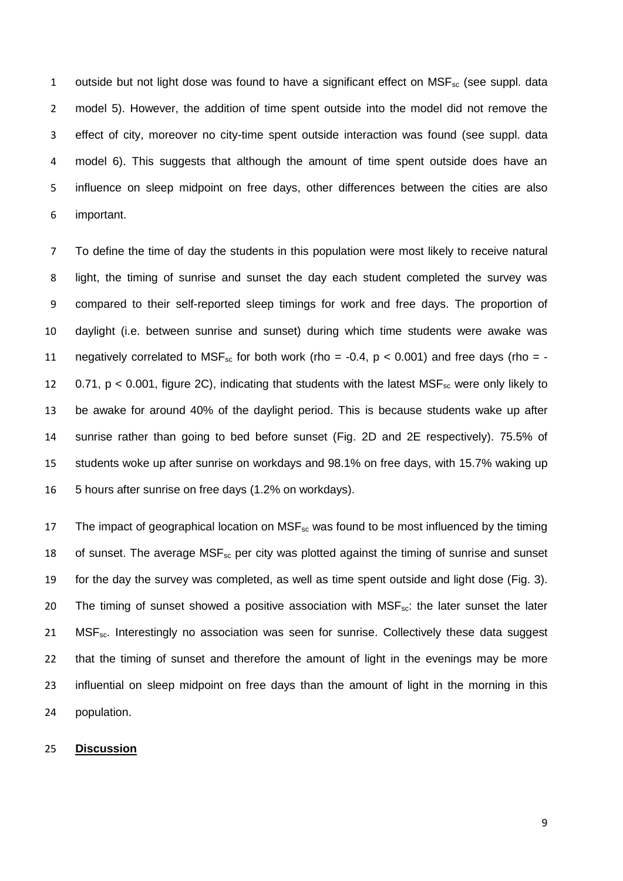1 outside but not light dose was found to have a significant effect on  $MSE_{\text{sc}}$  (see suppl. data model 5). However, the addition of time spent outside into the model did not remove the effect of city, moreover no city-time spent outside interaction was found (see suppl. data model 6). This suggests that although the amount of time spent outside does have an influence on sleep midpoint on free days, other differences between the cities are also important.

 To define the time of day the students in this population were most likely to receive natural light, the timing of sunrise and sunset the day each student completed the survey was compared to their self-reported sleep timings for work and free days. The proportion of daylight (i.e. between sunrise and sunset) during which time students were awake was 11 negatively correlated to  $MSF_{sc}$  for both work (rho = -0.4,  $p < 0.001$ ) and free days (rho = -12 0.71,  $p < 0.001$ , figure 2C), indicating that students with the latest  $MSF_{sc}$  were only likely to be awake for around 40% of the daylight period. This is because students wake up after sunrise rather than going to bed before sunset (Fig. 2D and 2E respectively). 75.5% of students woke up after sunrise on workdays and 98.1% on free days, with 15.7% waking up 5 hours after sunrise on free days (1.2% on workdays).

17 The impact of geographical location on  $MSE_{sc}$  was found to be most influenced by the timing 18 of sunset. The average  $MSF_{sc}$  per city was plotted against the timing of sunrise and sunset for the day the survey was completed, as well as time spent outside and light dose (Fig. 3). 20 The timing of sunset showed a positive association with  $MSE_{\text{sc}}$ : the later sunset the later 21 MSF<sub>sc</sub>. Interestingly no association was seen for sunrise. Collectively these data suggest that the timing of sunset and therefore the amount of light in the evenings may be more 23 influential on sleep midpoint on free days than the amount of light in the morning in this population.

### **Discussion**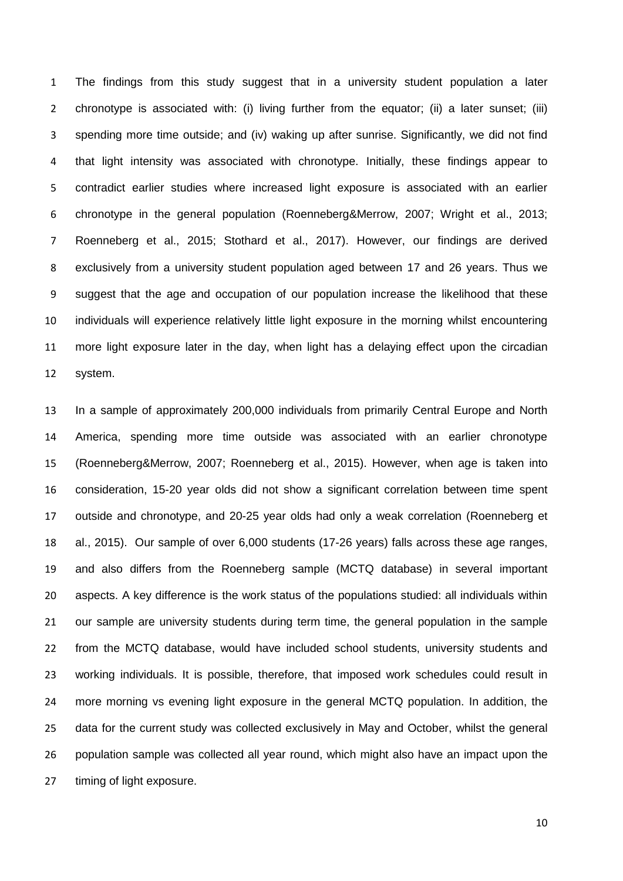The findings from this study suggest that in a university student population a later chronotype is associated with: (i) living further from the equator; (ii) a later sunset; (iii) spending more time outside; and (iv) waking up after sunrise. Significantly, we did not find that light intensity was associated with chronotype. Initially, these findings appear to contradict earlier studies where increased light exposure is associated with an earlier chronotype in the general population (Roenneberg&Merrow, 2007; Wright et al., 2013; Roenneberg et al., 2015; Stothard et al., 2017). However, our findings are derived exclusively from a university student population aged between 17 and 26 years. Thus we suggest that the age and occupation of our population increase the likelihood that these individuals will experience relatively little light exposure in the morning whilst encountering more light exposure later in the day, when light has a delaying effect upon the circadian system.

 In a sample of approximately 200,000 individuals from primarily Central Europe and North America, spending more time outside was associated with an earlier chronotype (Roenneberg&Merrow, 2007; Roenneberg et al., 2015). However, when age is taken into consideration, 15-20 year olds did not show a significant correlation between time spent outside and chronotype, and 20-25 year olds had only a weak correlation (Roenneberg et al., 2015). Our sample of over 6,000 students (17-26 years) falls across these age ranges, and also differs from the Roenneberg sample (MCTQ database) in several important aspects. A key difference is the work status of the populations studied: all individuals within our sample are university students during term time, the general population in the sample from the MCTQ database, would have included school students, university students and working individuals. It is possible, therefore, that imposed work schedules could result in more morning vs evening light exposure in the general MCTQ population. In addition, the data for the current study was collected exclusively in May and October, whilst the general population sample was collected all year round, which might also have an impact upon the timing of light exposure.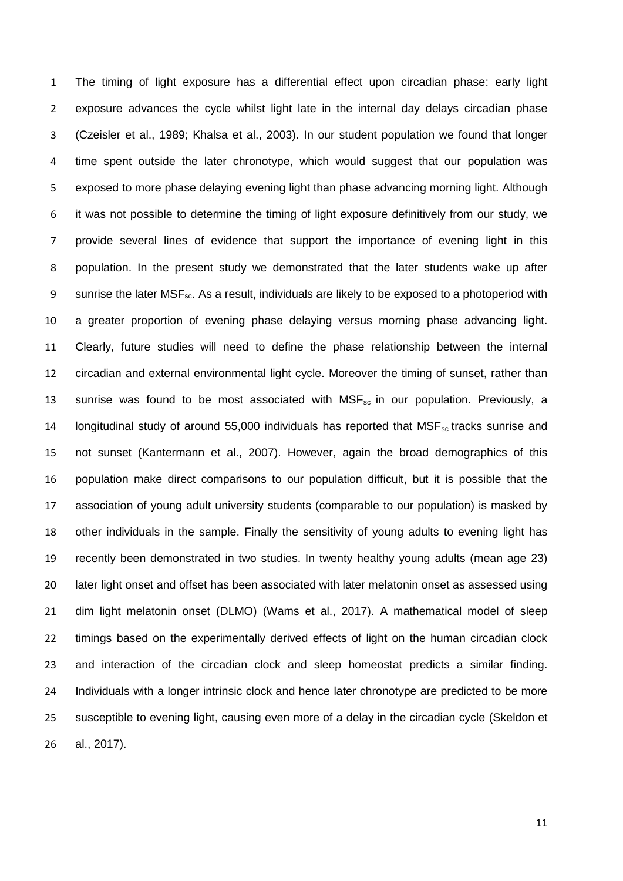The timing of light exposure has a differential effect upon circadian phase: early light exposure advances the cycle whilst light late in the internal day delays circadian phase (Czeisler et al., 1989; Khalsa et al., 2003). In our student population we found that longer time spent outside the later chronotype, which would suggest that our population was exposed to more phase delaying evening light than phase advancing morning light. Although it was not possible to determine the timing of light exposure definitively from our study, we provide several lines of evidence that support the importance of evening light in this population. In the present study we demonstrated that the later students wake up after 9 sunrise the later MSF<sub>sc</sub>. As a result, individuals are likely to be exposed to a photoperiod with a greater proportion of evening phase delaying versus morning phase advancing light. Clearly, future studies will need to define the phase relationship between the internal circadian and external environmental light cycle. Moreover the timing of sunset, rather than 13 sunrise was found to be most associated with  $MSF_{sc}$  in our population. Previously, a 14 longitudinal study of around 55,000 individuals has reported that MSF<sub>sc</sub> tracks sunrise and not sunset (Kantermann et al., 2007). However, again the broad demographics of this population make direct comparisons to our population difficult, but it is possible that the association of young adult university students (comparable to our population) is masked by other individuals in the sample. Finally the sensitivity of young adults to evening light has recently been demonstrated in two studies. In twenty healthy young adults (mean age 23) later light onset and offset has been associated with later melatonin onset as assessed using dim light melatonin onset (DLMO) (Wams et al., 2017). A mathematical model of sleep timings based on the experimentally derived effects of light on the human circadian clock and interaction of the circadian clock and sleep homeostat predicts a similar finding. 24 Individuals with a longer intrinsic clock and hence later chronotype are predicted to be more susceptible to evening light, causing even more of a delay in the circadian cycle (Skeldon et al., 2017).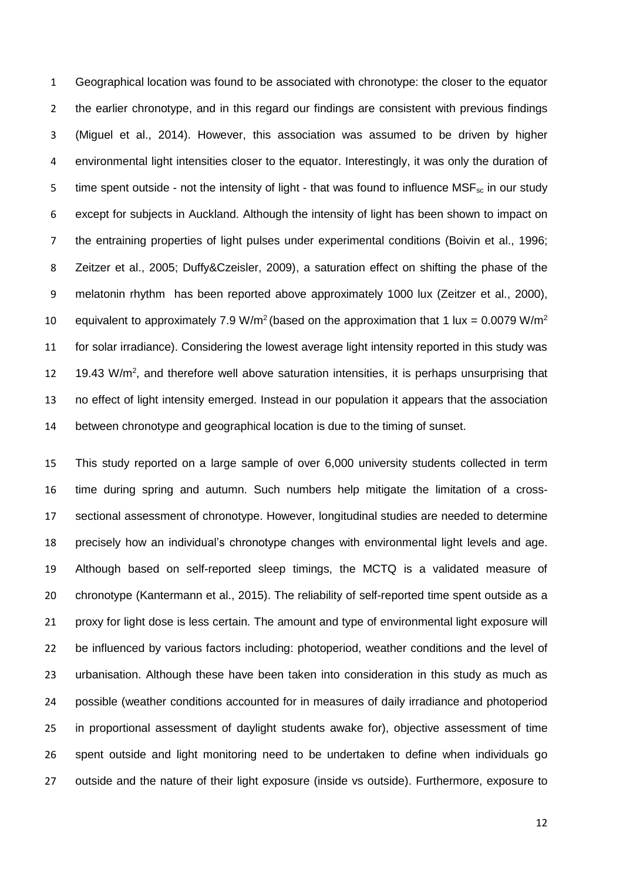Geographical location was found to be associated with chronotype: the closer to the equator 2 the earlier chronotype, and in this regard our findings are consistent with previous findings (Miguel et al., 2014). However, this association was assumed to be driven by higher environmental light intensities closer to the equator. Interestingly, it was only the duration of 5 time spent outside - not the intensity of light - that was found to influence  $MSE_{\text{sc}}$  in our study except for subjects in Auckland. Although the intensity of light has been shown to impact on the entraining properties of light pulses under experimental conditions (Boivin et al., 1996; Zeitzer et al., 2005; Duffy&Czeisler, 2009), a saturation effect on shifting the phase of the melatonin rhythm has been reported above approximately 1000 lux (Zeitzer et al., 2000), 10 equivalent to approximately 7.9 W/m<sup>2</sup> (based on the approximation that 1 lux = 0.0079 W/m<sup>2</sup> for solar irradiance). Considering the lowest average light intensity reported in this study was  $-$  19.43 W/m<sup>2</sup>, and therefore well above saturation intensities, it is perhaps unsurprising that no effect of light intensity emerged. Instead in our population it appears that the association between chronotype and geographical location is due to the timing of sunset.

 This study reported on a large sample of over 6,000 university students collected in term time during spring and autumn. Such numbers help mitigate the limitation of a cross- sectional assessment of chronotype. However, longitudinal studies are needed to determine precisely how an individual's chronotype changes with environmental light levels and age. Although based on self-reported sleep timings, the MCTQ is a validated measure of chronotype (Kantermann et al., 2015). The reliability of self-reported time spent outside as a proxy for light dose is less certain. The amount and type of environmental light exposure will be influenced by various factors including: photoperiod, weather conditions and the level of urbanisation. Although these have been taken into consideration in this study as much as possible (weather conditions accounted for in measures of daily irradiance and photoperiod in proportional assessment of daylight students awake for), objective assessment of time spent outside and light monitoring need to be undertaken to define when individuals go outside and the nature of their light exposure (inside vs outside). Furthermore, exposure to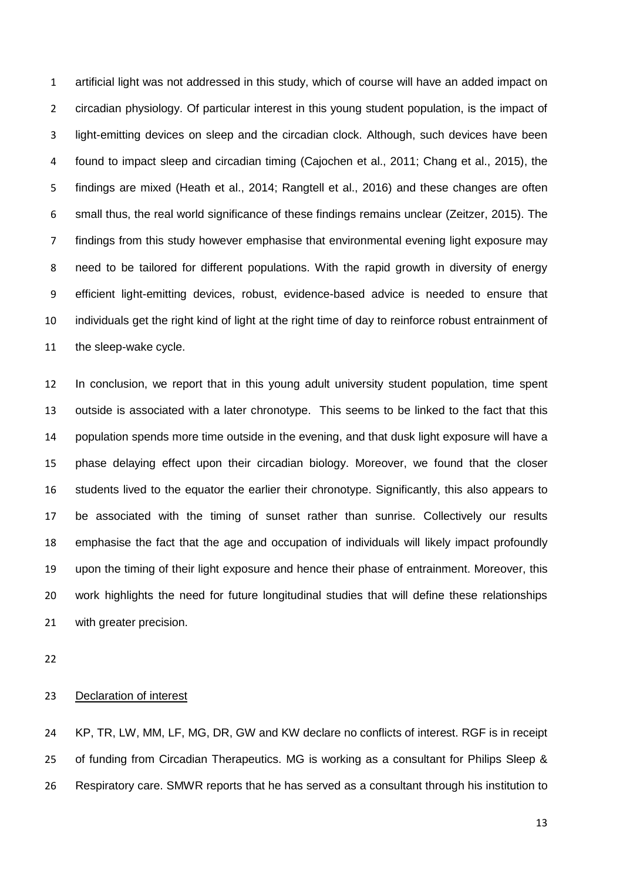artificial light was not addressed in this study, which of course will have an added impact on circadian physiology. Of particular interest in this young student population, is the impact of light-emitting devices on sleep and the circadian clock. Although, such devices have been found to impact sleep and circadian timing (Cajochen et al., 2011; Chang et al., 2015), the findings are mixed (Heath et al., 2014; Rangtell et al., 2016) and these changes are often small thus, the real world significance of these findings remains unclear (Zeitzer, 2015). The findings from this study however emphasise that environmental evening light exposure may need to be tailored for different populations. With the rapid growth in diversity of energy efficient light-emitting devices, robust, evidence-based advice is needed to ensure that individuals get the right kind of light at the right time of day to reinforce robust entrainment of the sleep-wake cycle.

 In conclusion, we report that in this young adult university student population, time spent outside is associated with a later chronotype. This seems to be linked to the fact that this population spends more time outside in the evening, and that dusk light exposure will have a phase delaying effect upon their circadian biology. Moreover, we found that the closer students lived to the equator the earlier their chronotype. Significantly, this also appears to be associated with the timing of sunset rather than sunrise. Collectively our results emphasise the fact that the age and occupation of individuals will likely impact profoundly upon the timing of their light exposure and hence their phase of entrainment. Moreover, this work highlights the need for future longitudinal studies that will define these relationships with greater precision.

### Declaration of interest

 KP, TR, LW, MM, LF, MG, DR, GW and KW declare no conflicts of interest. RGF is in receipt of funding from Circadian Therapeutics. MG is working as a consultant for Philips Sleep & Respiratory care. SMWR reports that he has served as a consultant through his institution to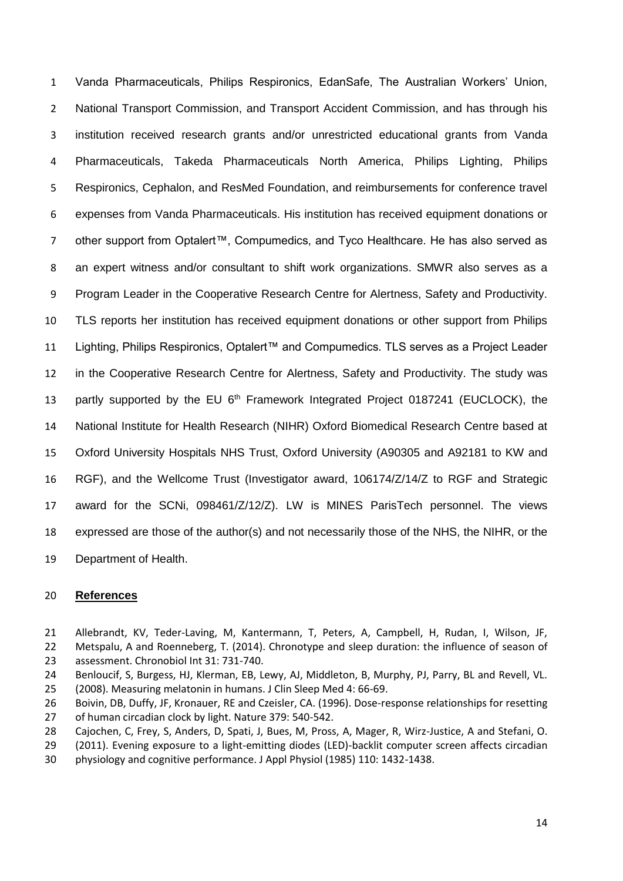Vanda Pharmaceuticals, Philips Respironics, EdanSafe, The Australian Workers' Union, 2 National Transport Commission, and Transport Accident Commission, and has through his institution received research grants and/or unrestricted educational grants from Vanda Pharmaceuticals, Takeda Pharmaceuticals North America, Philips Lighting, Philips Respironics, Cephalon, and ResMed Foundation, and reimbursements for conference travel expenses from Vanda Pharmaceuticals. His institution has received equipment donations or other support from Optalert™, Compumedics, and Tyco Healthcare. He has also served as an expert witness and/or consultant to shift work organizations. SMWR also serves as a Program Leader in the Cooperative Research Centre for Alertness, Safety and Productivity. TLS reports her institution has received equipment donations or other support from Philips Lighting, Philips Respironics, Optalert™ and Compumedics. TLS serves as a Project Leader in the Cooperative Research Centre for Alertness, Safety and Productivity. The study was 13 partly supported by the EU 6<sup>th</sup> Framework Integrated Project 0187241 (EUCLOCK), the National Institute for Health Research (NIHR) Oxford Biomedical Research Centre based at Oxford University Hospitals NHS Trust, Oxford University (A90305 and A92181 to KW and RGF), and the Wellcome Trust (Investigator award, 106174/Z/14/Z to RGF and Strategic award for the SCNi, 098461/Z/12/Z). LW is MINES ParisTech personnel. The views expressed are those of the author(s) and not necessarily those of the NHS, the NIHR, or the Department of Health.

#### **References**

- Allebrandt, KV, Teder-Laving, M, Kantermann, T, Peters, A, Campbell, H, Rudan, I, Wilson, JF, Metspalu, A and Roenneberg, T. (2014). Chronotype and sleep duration: the influence of season of
- assessment. Chronobiol Int 31: 731-740.
- Benloucif, S, Burgess, HJ, Klerman, EB, Lewy, AJ, Middleton, B, Murphy, PJ, Parry, BL and Revell, VL. (2008). Measuring melatonin in humans. J Clin Sleep Med 4: 66-69.
- Boivin, DB, Duffy, JF, Kronauer, RE and Czeisler, CA. (1996). Dose-response relationships for resetting of human circadian clock by light. Nature 379: 540-542.
- Cajochen, C, Frey, S, Anders, D, Spati, J, Bues, M, Pross, A, Mager, R, Wirz-Justice, A and Stefani, O.
- (2011). Evening exposure to a light-emitting diodes (LED)-backlit computer screen affects circadian
- physiology and cognitive performance. J Appl Physiol (1985) 110: 1432-1438.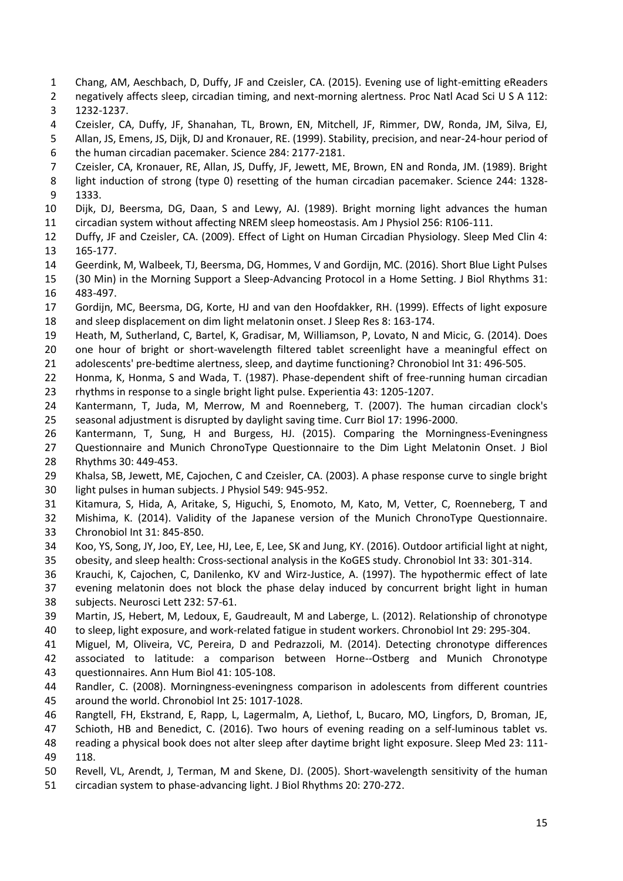- Chang, AM, Aeschbach, D, Duffy, JF and Czeisler, CA. (2015). Evening use of light-emitting eReaders
- negatively affects sleep, circadian timing, and next-morning alertness. Proc Natl Acad Sci U S A 112:
- 1232-1237.
- Czeisler, CA, Duffy, JF, Shanahan, TL, Brown, EN, Mitchell, JF, Rimmer, DW, Ronda, JM, Silva, EJ,
- Allan, JS, Emens, JS, Dijk, DJ and Kronauer, RE. (1999). Stability, precision, and near-24-hour period of the human circadian pacemaker. Science 284: 2177-2181.
- Czeisler, CA, Kronauer, RE, Allan, JS, Duffy, JF, Jewett, ME, Brown, EN and Ronda, JM. (1989). Bright
- light induction of strong (type 0) resetting of the human circadian pacemaker. Science 244: 1328-
- 1333.
- Dijk, DJ, Beersma, DG, Daan, S and Lewy, AJ. (1989). Bright morning light advances the human circadian system without affecting NREM sleep homeostasis. Am J Physiol 256: R106-111.
- Duffy, JF and Czeisler, CA. (2009). Effect of Light on Human Circadian Physiology. Sleep Med Clin 4: 165-177.
- Geerdink, M, Walbeek, TJ, Beersma, DG, Hommes, V and Gordijn, MC. (2016). Short Blue Light Pulses
- (30 Min) in the Morning Support a Sleep-Advancing Protocol in a Home Setting. J Biol Rhythms 31: 483-497.
- Gordijn, MC, Beersma, DG, Korte, HJ and van den Hoofdakker, RH. (1999). Effects of light exposure and sleep displacement on dim light melatonin onset. J Sleep Res 8: 163-174.
- 
- Heath, M, Sutherland, C, Bartel, K, Gradisar, M, Williamson, P, Lovato, N and Micic, G. (2014). Does one hour of bright or short-wavelength filtered tablet screenlight have a meaningful effect on adolescents' pre-bedtime alertness, sleep, and daytime functioning? Chronobiol Int 31: 496-505.
- Honma, K, Honma, S and Wada, T. (1987). Phase-dependent shift of free-running human circadian rhythms in response to a single bright light pulse. Experientia 43: 1205-1207.
- Kantermann, T, Juda, M, Merrow, M and Roenneberg, T. (2007). The human circadian clock's seasonal adjustment is disrupted by daylight saving time. Curr Biol 17: 1996-2000.
- Kantermann, T, Sung, H and Burgess, HJ. (2015). Comparing the Morningness-Eveningness
- Questionnaire and Munich ChronoType Questionnaire to the Dim Light Melatonin Onset. J Biol Rhythms 30: 449-453.
- Khalsa, SB, Jewett, ME, Cajochen, C and Czeisler, CA. (2003). A phase response curve to single bright light pulses in human subjects. J Physiol 549: 945-952.
- Kitamura, S, Hida, A, Aritake, S, Higuchi, S, Enomoto, M, Kato, M, Vetter, C, Roenneberg, T and
- Mishima, K. (2014). Validity of the Japanese version of the Munich ChronoType Questionnaire.
- Chronobiol Int 31: 845-850.
- Koo, YS, Song, JY, Joo, EY, Lee, HJ, Lee, E, Lee, SK and Jung, KY. (2016). Outdoor artificial light at night,
- obesity, and sleep health: Cross-sectional analysis in the KoGES study. Chronobiol Int 33: 301-314.
- Krauchi, K, Cajochen, C, Danilenko, KV and Wirz-Justice, A. (1997). The hypothermic effect of late evening melatonin does not block the phase delay induced by concurrent bright light in human
- subjects. Neurosci Lett 232: 57-61.
- Martin, JS, Hebert, M, Ledoux, E, Gaudreault, M and Laberge, L. (2012). Relationship of chronotype to sleep, light exposure, and work-related fatigue in student workers. Chronobiol Int 29: 295-304.
- Miguel, M, Oliveira, VC, Pereira, D and Pedrazzoli, M. (2014). Detecting chronotype differences
- associated to latitude: a comparison between Horne--Ostberg and Munich Chronotype
- questionnaires. Ann Hum Biol 41: 105-108.
- Randler, C. (2008). Morningness-eveningness comparison in adolescents from different countries around the world. Chronobiol Int 25: 1017-1028.
- Rangtell, FH, Ekstrand, E, Rapp, L, Lagermalm, A, Liethof, L, Bucaro, MO, Lingfors, D, Broman, JE,
- Schioth, HB and Benedict, C. (2016). Two hours of evening reading on a self-luminous tablet vs.
- reading a physical book does not alter sleep after daytime bright light exposure. Sleep Med 23: 111- 118.
- Revell, VL, Arendt, J, Terman, M and Skene, DJ. (2005). Short-wavelength sensitivity of the human circadian system to phase-advancing light. J Biol Rhythms 20: 270-272.